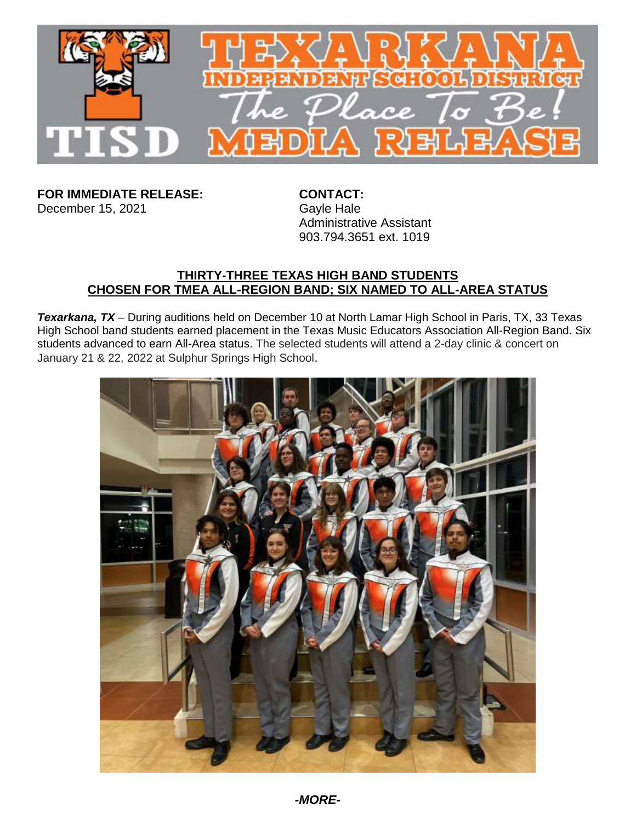

**FOR IMMEDIATE RELEASE: CONTACT:**<br>December 15, 2021 Gayle Hale December 15, 2021

Administrative Assistant 903.794.3651 ext. 1019

## **THIRTY-THREE TEXAS HIGH BAND STUDENTS CHOSEN FOR TMEA ALL-REGION BAND; SIX NAMED TO ALL-AREA STATUS**

*Texarkana, TX* – During auditions held on December 10 at North Lamar High School in Paris, TX, 33 Texas High School band students earned placement in the Texas Music Educators Association All-Region Band. Six students advanced to earn All-Area status. The selected students will attend a 2-day clinic & concert on January 21 & 22, 2022 at Sulphur Springs High School.